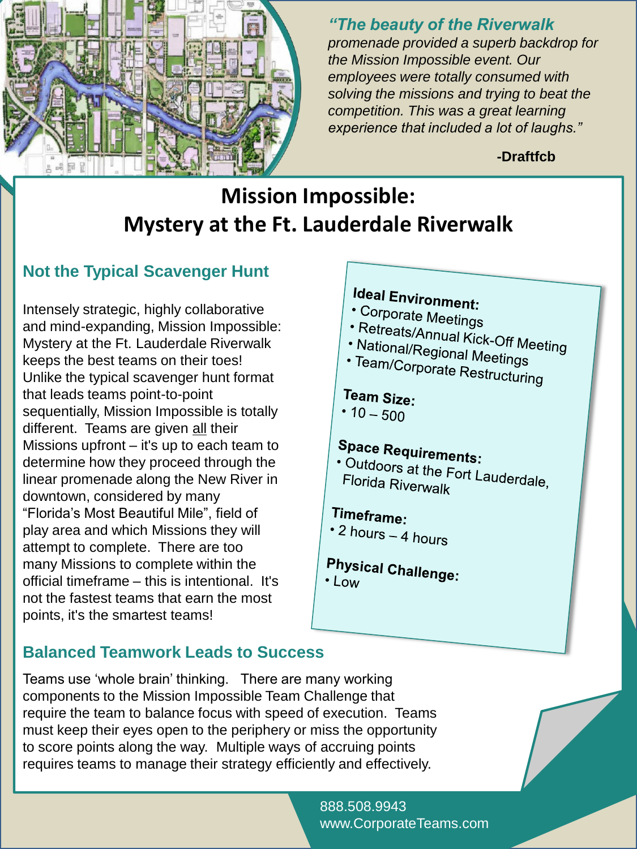

*"The beauty of the Riverwalk promenade provided a superb backdrop for the Mission Impossible event. Our employees were totally consumed with solving the missions and trying to beat the competition. This was a great learning experience that included a lot of laughs."*

**-Draftfcb**

## **Mission Impossible: Mystery at the Ft. Lauderdale Riverwalk**

## **Not the Typical Scavenger Hunt**

Intensely strategic, highly collaborative and mind-expanding, Mission Impossible: Mystery at the Ft. Lauderdale Riverwalk keeps the best teams on their toes! Unlike the typical scavenger hunt format that leads teams point-to-point sequentially, Mission Impossible is totally different. Teams are given all their Missions upfront – it's up to each team to determine how they proceed through the linear promenade along the New River in downtown, considered by many "Florida"s Most Beautiful Mile", field of play area and which Missions they will attempt to complete. There are too many Missions to complete within the official timeframe – this is intentional. It's not the fastest teams that earn the most points, it's the smartest teams!

# **Ideal Environment:**

- Corporate Meetings
- 
- Priporate Meetings<br>• Retreats/Annual Kick-Off Meeting<br>• National/Regional Meeti
- National/Regional Meetings<br>• National/Regional Meetings<br>• Team/Corporate D · Team/Corporate Restructuring

## Team Size:

•  $10 - 500$ 

# **Space Requirements:**

• Pace Requirements:<br>• Outdoors at the Fort Lauderdale,<br>Florida Riverwalk Florida Riverwalk

## Timeframe:

- $\cdot$  2 hours 4 hours
- **Physical Challenge:**  $\cdot$  Low

## **Balanced Teamwork Leads to Success**

Teams use "whole brain" thinking. There are many working components to the Mission Impossible Team Challenge that require the team to balance focus with speed of execution. Teams must keep their eyes open to the periphery or miss the opportunity to score points along the way. Multiple ways of accruing points requires teams to manage their strategy efficiently and effectively.

> 888.508.9943 www.CorporateTeams.com